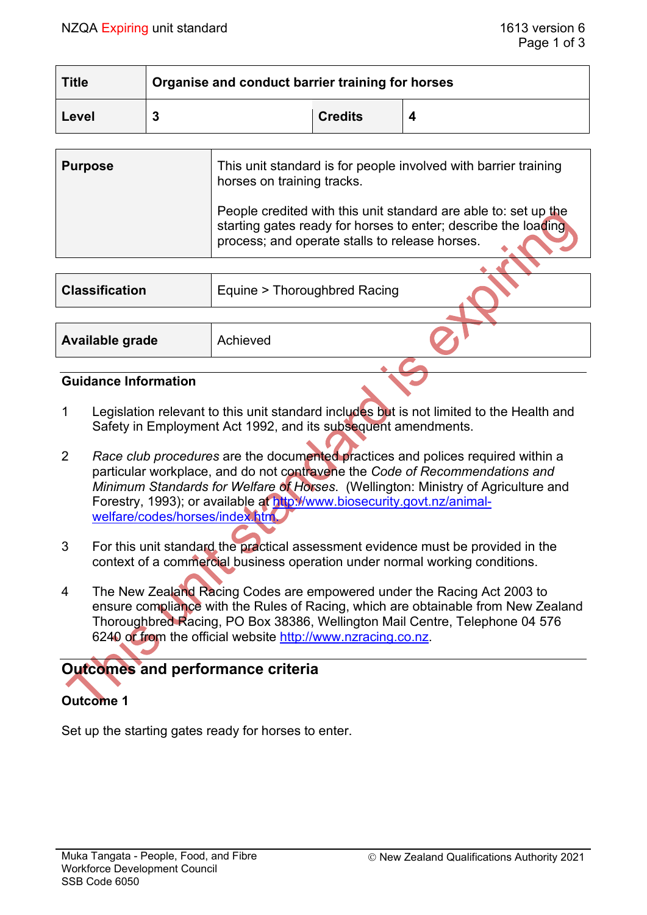| <b>Title</b> | Organise and conduct barrier training for horses |                |  |  |  |
|--------------|--------------------------------------------------|----------------|--|--|--|
| Level        | -                                                | <b>Credits</b> |  |  |  |

| <b>Purpose</b> | This unit standard is for people involved with barrier training<br>horses on training tracks.                                                                                       |  |
|----------------|-------------------------------------------------------------------------------------------------------------------------------------------------------------------------------------|--|
|                | People credited with this unit standard are able to: set up the<br>starting gates ready for horses to enter; describe the loading<br>process; and operate stalls to release horses. |  |
|                |                                                                                                                                                                                     |  |

| <b>Classification</b> | Equine > Thoroughbred Racing |  |
|-----------------------|------------------------------|--|
|                       |                              |  |
| Available grade       | Achieved                     |  |
|                       |                              |  |

#### **Guidance Information**

- 1 Legislation relevant to this unit standard includes but is not limited to the Health and Safety in Employment Act 1992, and its subsequent amendments.
- 2 *Race club procedures* are the documented practices and polices required within a particular workplace, and do not contravene the *Code of Recommendations and Minimum Standards for Welfare of Horses*. (Wellington: Ministry of Agriculture and Forestry, 1993); or available at [http://www.biosecurity.govt.nz/animal](http://www.biosecurity.govt.nz/animal-welfare/codes/horses/index.htm)welfare/codes/horses/index.htm
- 3 For this unit standard the practical assessment evidence must be provided in the context of a commercial business operation under normal working conditions.
- 4 The New Zealand Racing Codes are empowered under the Racing Act 2003 to ensure compliance with the Rules of Racing, which are obtainable from New Zealand Thoroughbred Racing, PO Box 38386, Wellington Mail Centre, Telephone 04 576 6240 or from the official website [http://www.nzracing.co.nz.](http://www.nzracing.co.nz/)

# **Outcomes and performance criteria Outcome 1**

Set up the starting gates ready for horses to enter.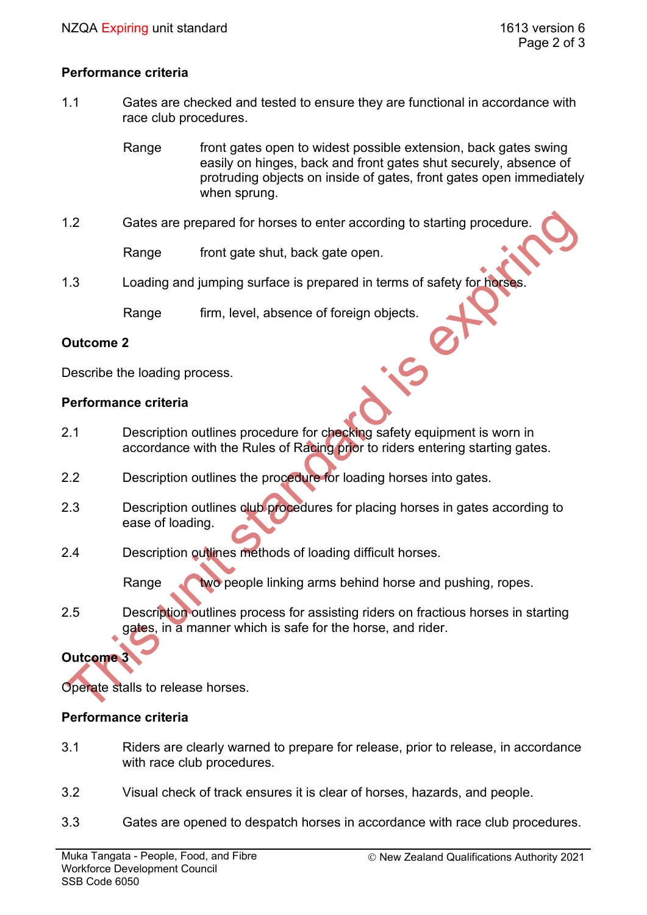# **Performance criteria**

1.1 Gates are checked and tested to ensure they are functional in accordance with race club procedures.

> Range front gates open to widest possible extension, back gates swing easily on hinges, back and front gates shut securely, absence of protruding objects on inside of gates, front gates open immediately when sprung.

1.2 Gates are prepared for horses to enter according to starting procedure.

Range front gate shut, back gate open.

1.3 Loading and jumping surface is prepared in terms of safety for horses

Range firm, level, absence of foreign objects.

#### **Outcome 2**

Describe the loading process.

#### **Performance criteria**

- 2.1 Description outlines procedure for checking safety equipment is worn in accordance with the Rules of Racing prior to riders entering starting gates.
- 2.2 Description outlines the procedure for loading horses into gates.
- 2.3 Description outlines club procedures for placing horses in gates according to ease of loading.
- 2.4 Description outlines methods of loading difficult horses.

Range two people linking arms behind horse and pushing, ropes.

2.5 Description outlines process for assisting riders on fractious horses in starting gates, in a manner which is safe for the horse, and rider.

# **Outcome 3**

Operate stalls to release horses.

# **Performance criteria**

- 3.1 Riders are clearly warned to prepare for release, prior to release, in accordance with race club procedures.
- 3.2 Visual check of track ensures it is clear of horses, hazards, and people.
- 3.3 Gates are opened to despatch horses in accordance with race club procedures.